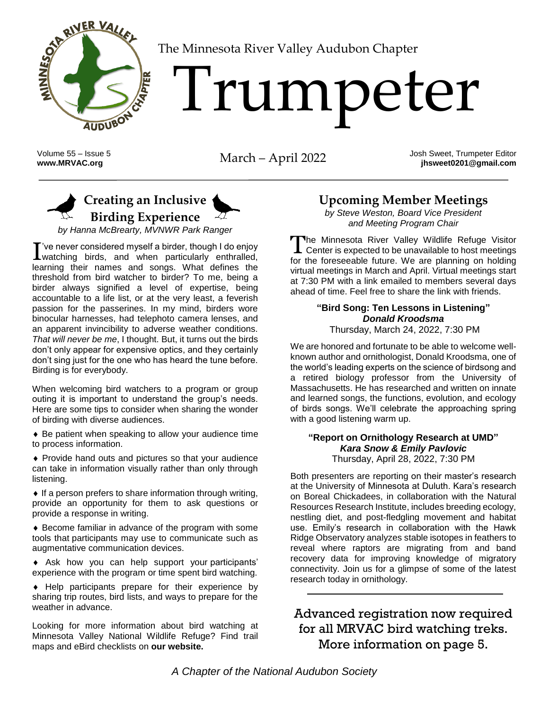

[T](http://www.MRVAC.org)he Minnesota River Valley Audubon Chapter

# Trumpeter

Volume 55 – Issue 5

Volume 55 – Issue 5<br> **WARVAC.org** March – April 2022 Josh Sweet, Trumpeter Editor<br> **WARVAC.org** in the March – April 2022 Josh Sweet 0201@gmail.com **jhsweet0201@gmail.com**

# **Creating an Inclusive Birding Experience**

*by Hanna McBrearty, MVNWR Park Ranger*

've never considered myself a birder, though I do enjoy  $\Gamma$  ve never considered myself a birder, though I do enjoy watching birds, and when particularly enthralled, for the learning their names and songs. What defines the threshold from bird watcher to birder? To me, being a birder always signified a level of expertise, being accountable to a life list, or at the very least, a feverish passion for the passerines. In my mind, birders wore binocular harnesses, had telephoto camera lenses, and an apparent invincibility to adverse weather conditions. *That will never be me*, I thought. But, it turns out the birds don't only appear for expensive optics, and they certainly don't sing just for the one who has heard the tune before. Birding is for everybody.

When welcoming bird watchers to a program or group outing it is important to understand the group's needs. Here are some tips to consider when sharing the wonder of birding with diverse audiences.

 Be patient when speaking to allow your audience time to process information.

 Provide hand outs and pictures so that your audience can take in information visually rather than only through listening.

 $\bullet$  If a person prefers to share information through writing, provide an opportunity for them to ask questions or provide a response in writing.

 Become familiar in advance of the program with some tools that participants may use to communicate such as augmentative communication devices.

 Ask how you can help support your participants' experience with the program or time spent bird watching.

 Help participants prepare for their experience by sharing trip routes, bird lists, and ways to prepare for the weather in advance.

Looking for more information about bird watching at Minnesota Valley National Wildlife Refuge? Find trail maps and eBird checklists on **[our website.](http://www.fws.gov/refuge/minnesota_valley/birding.html.)**

# **Upcoming Member Meetings**

*by Steve Weston, Board Vice President and Meeting Program Chair*

The Minnesota River Valley Wildlife Refuge Visitor L Center is expected to be unavailable to host meetings for the foreseeable future. We are planning on holding virtual meetings in March and April. Virtual meetings start at 7:30 PM with a link emailed to members several days ahead of time. Feel free to share the link with friends.

#### **"Bird Song: Ten Lessons in Listening"** *Donald Kroodsma*

Thursday, March 24, 2022, 7:30 PM

We are honored and fortunate to be able to welcome wellknown author and ornithologist, Donald Kroodsma, one of the world's leading experts on the science of birdsong and a retired biology professor from the University of Massachusetts. He has researched and written on innate and learned songs, the functions, evolution, and ecology of birds songs. We'll celebrate the approaching spring with a good listening warm up.

#### **"Report on Ornithology Research at UMD"** *Kara Snow & Emily Pavlovic* Thursday, April 28, 2022, 7:30 PM

Both presenters are reporting on their master's research at the University of Minnesota at Duluth. Kara's research on Boreal Chickadees, in collaboration with the Natural Resources Research Institute, includes breeding ecology, nestling diet, and post-fledgling movement and habitat use. Emily's research in collaboration with the Hawk Ridge Observatory analyzes stable isotopes in feathers to reveal where raptors are migrating from and band recovery data for improving knowledge of migratory connectivity. Join us for a glimpse of some of the latest research today in ornithology.

Advanced registration now required for all MRVAC bird watching treks. More information on page 5.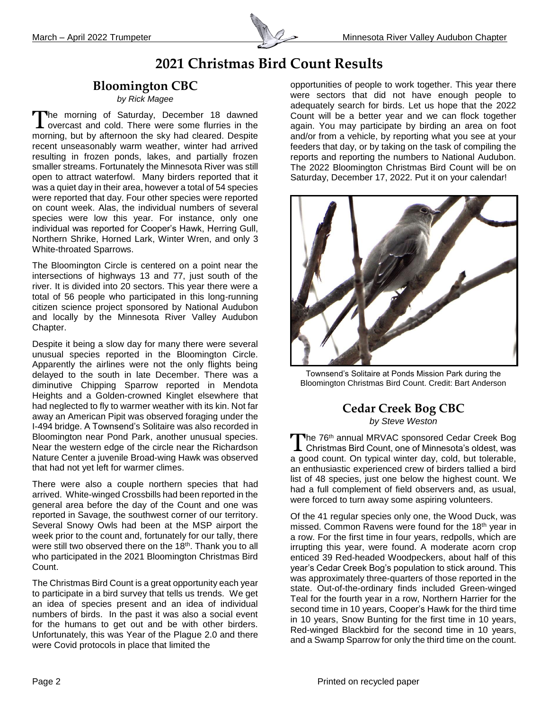

# **2021 Christmas Bird Count Results**

## **Bloomington CBC**

#### *by Rick Magee*

The morning of Saturday, December 18 dawned The morning of Saturday, December 18 dawned<br>I overcast and cold. There were some flurries in the morning, but by afternoon the sky had cleared. Despite recent unseasonably warm weather, winter had arrived resulting in frozen ponds, lakes, and partially frozen smaller streams. Fortunately the Minnesota River was still open to attract waterfowl. Many birders reported that it was a quiet day in their area, however a total of 54 species were reported that day. Four other species were reported on count week. Alas, the individual numbers of several species were low this year. For instance, only one individual was reported for Cooper's Hawk, Herring Gull, Northern Shrike, Horned Lark, Winter Wren, and only 3 White-throated Sparrows.

The Bloomington Circle is centered on a point near the intersections of highways 13 and 77, just south of the river. It is divided into 20 sectors. This year there were a total of 56 people who participated in this long-running citizen science project sponsored by National Audubon and locally by the Minnesota River Valley Audubon Chapter.

Despite it being a slow day for many there were several unusual species reported in the Bloomington Circle. Apparently the airlines were not the only flights being delayed to the south in late December. There was a diminutive Chipping Sparrow reported in Mendota Heights and a Golden-crowned Kinglet elsewhere that had neglected to fly to warmer weather with its kin. Not far away an American Pipit was observed foraging under the I-494 bridge. A Townsend's Solitaire was also recorded in Bloomington near Pond Park, another unusual species. Near the western edge of the circle near the Richardson Nature Center a juvenile Broad-wing Hawk was observed that had not yet left for warmer climes.

There were also a couple northern species that had arrived. White-winged Crossbills had been reported in the general area before the day of the Count and one was reported in Savage, the southwest corner of our territory. Several Snowy Owls had been at the MSP airport the week prior to the count and, fortunately for our tally, there were still two observed there on the 18<sup>th</sup>. Thank you to all who participated in the 2021 Bloomington Christmas Bird Count.

The Christmas Bird Count is a great opportunity each year to participate in a bird survey that tells us trends. We get an idea of species present and an idea of individual numbers of birds. In the past it was also a social event for the humans to get out and be with other birders. Unfortunately, this was Year of the Plague 2.0 and there were Covid protocols in place that limited the

opportunities of people to work together. This year there were sectors that did not have enough people to adequately search for birds. Let us hope that the 2022 Count will be a better year and we can flock together again. You may participate by birding an area on foot and/or from a vehicle, by reporting what you see at your feeders that day, or by taking on the task of compiling the reports and reporting the numbers to National Audubon. The 2022 Bloomington Christmas Bird Count will be on Saturday, December 17, 2022. Put it on your calendar!



Townsend's Solitaire at Ponds Mission Park during the Bloomington Christmas Bird Count. Credit: Bart Anderson

## **Cedar Creek Bog CBC** *by Steve Weston*

The 76<sup>th</sup> annual MRVAC sponsored Cedar Creek Bog The 76<sup>th</sup> annual MRVAC sponsored Cedar Creek Bog<br>
Christmas Bird Count, one of Minnesota's oldest, was a good count. On typical winter day, cold, but tolerable, an enthusiastic experienced crew of birders tallied a bird list of 48 species, just one below the highest count. We had a full complement of field observers and, as usual, were forced to turn away some aspiring volunteers.

Of the 41 regular species only one, the Wood Duck, was missed. Common Ravens were found for the 18<sup>th</sup> year in a row. For the first time in four years, redpolls, which are irrupting this year, were found. A moderate acorn crop enticed 39 Red-headed Woodpeckers, about half of this year's Cedar Creek Bog's population to stick around. This was approximately three-quarters of those reported in the state. Out-of-the-ordinary finds included Green-winged Teal for the fourth year in a row, Northern Harrier for the second time in 10 years, Cooper's Hawk for the third time in 10 years, Snow Bunting for the first time in 10 years, Red-winged Blackbird for the second time in 10 years, and a Swamp Sparrow for only the third time on the count.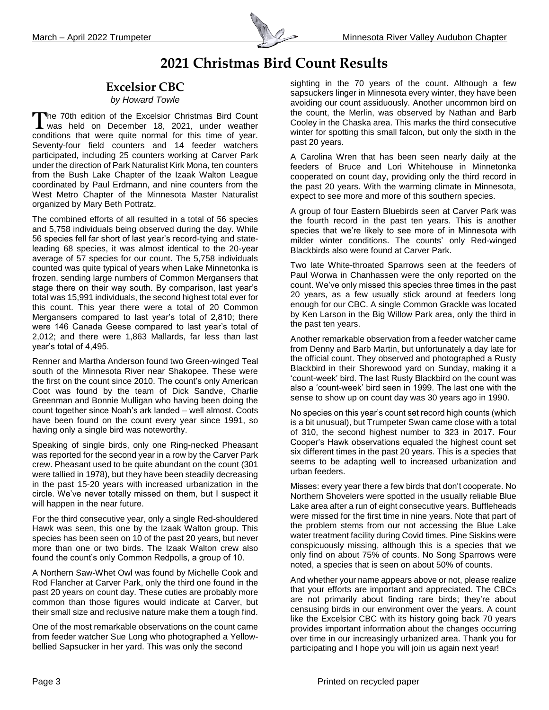

# **2021 Christmas Bird Count Results**

## **Excelsior CBC**

#### *by Howard Towle*

The 70th edition of the Excelsior Christmas Bird Count The 70th edition of the Excelsior Christmas Bird Count<br>was held on December 18, 2021, under weather conditions that were quite normal for this time of year. Seventy-four field counters and 14 feeder watchers participated, including 25 counters working at Carver Park under the direction of Park Naturalist Kirk Mona, ten counters from the Bush Lake Chapter of the Izaak Walton League coordinated by Paul Erdmann, and nine counters from the West Metro Chapter of the Minnesota Master Naturalist organized by Mary Beth Pottratz.

The combined efforts of all resulted in a total of 56 species and 5,758 individuals being observed during the day. While 56 species fell far short of last year's record-tying and stateleading 68 species, it was almost identical to the 20-year average of 57 species for our count. The 5,758 individuals counted was quite typical of years when Lake Minnetonka is frozen, sending large numbers of Common Mergansers that stage there on their way south. By comparison, last year's total was 15,991 individuals, the second highest total ever for this count. This year there were a total of 20 Common Mergansers compared to last year's total of 2,810; there were 146 Canada Geese compared to last year's total of 2,012; and there were 1,863 Mallards, far less than last year's total of 4,495.

Renner and Martha Anderson found two Green-winged Teal south of the Minnesota River near Shakopee. These were the first on the count since 2010. The count's only American Coot was found by the team of Dick Sandve, Charlie Greenman and Bonnie Mulligan who having been doing the count together since Noah's ark landed – well almost. Coots have been found on the count every year since 1991, so having only a single bird was noteworthy.

Speaking of single birds, only one Ring-necked Pheasant was reported for the second year in a row by the Carver Park crew. Pheasant used to be quite abundant on the count (301 were tallied in 1978), but they have been steadily decreasing in the past 15-20 years with increased urbanization in the circle. We've never totally missed on them, but I suspect it will happen in the near future.

For the third consecutive year, only a single Red-shouldered Hawk was seen, this one by the Izaak Walton group. This species has been seen on 10 of the past 20 years, but never more than one or two birds. The Izaak Walton crew also found the count's only Common Redpolls, a group of 10.

A Northern Saw-Whet Owl was found by Michelle Cook and Rod Flancher at Carver Park, only the third one found in the past 20 years on count day. These cuties are probably more common than those figures would indicate at Carver, but their small size and reclusive nature make them a tough find.

One of the most remarkable observations on the count came from feeder watcher Sue Long who photographed a Yellowbellied Sapsucker in her yard. This was only the second

sighting in the 70 years of the count. Although a few sapsuckers linger in Minnesota every winter, they have been avoiding our count assiduously. Another uncommon bird on the count, the Merlin, was observed by Nathan and Barb Cooley in the Chaska area. This marks the third consecutive winter for spotting this small falcon, but only the sixth in the past 20 years.

A Carolina Wren that has been seen nearly daily at the feeders of Bruce and Lori Whitehouse in Minnetonka cooperated on count day, providing only the third record in the past 20 years. With the warming climate in Minnesota, expect to see more and more of this southern species.

A group of four Eastern Bluebirds seen at Carver Park was the fourth record in the past ten years. This is another species that we're likely to see more of in Minnesota with milder winter conditions. The counts' only Red-winged Blackbirds also were found at Carver Park.

Two late White-throated Sparrows seen at the feeders of Paul Worwa in Chanhassen were the only reported on the count. We've only missed this species three times in the past 20 years, as a few usually stick around at feeders long enough for our CBC. A single Common Grackle was located by Ken Larson in the Big Willow Park area, only the third in the past ten years.

Another remarkable observation from a feeder watcher came from Denny and Barb Martin, but unfortunately a day late for the official count. They observed and photographed a Rusty Blackbird in their Shorewood yard on Sunday, making it a 'count-week' bird. The last Rusty Blackbird on the count was also a 'count-week' bird seen in 1999. The last one with the sense to show up on count day was 30 years ago in 1990.

No species on this year's count set record high counts (which is a bit unusual), but Trumpeter Swan came close with a total of 310, the second highest number to 323 in 2017. Four Cooper's Hawk observations equaled the highest count set six different times in the past 20 years. This is a species that seems to be adapting well to increased urbanization and urban feeders.

Misses: every year there a few birds that don't cooperate. No Northern Shovelers were spotted in the usually reliable Blue Lake area after a run of eight consecutive years. Buffleheads were missed for the first time in nine years. Note that part of the problem stems from our not accessing the Blue Lake water treatment facility during Covid times. Pine Siskins were conspicuously missing, although this is a species that we only find on about 75% of counts. No Song Sparrows were noted, a species that is seen on about 50% of counts.

And whether your name appears above or not, please realize that your efforts are important and appreciated. The CBCs are not primarily about finding rare birds; they're about censusing birds in our environment over the years. A count like the Excelsior CBC with its history going back 70 years provides important information about the changes occurring over time in our increasingly urbanized area. Thank you for participating and I hope you will join us again next year!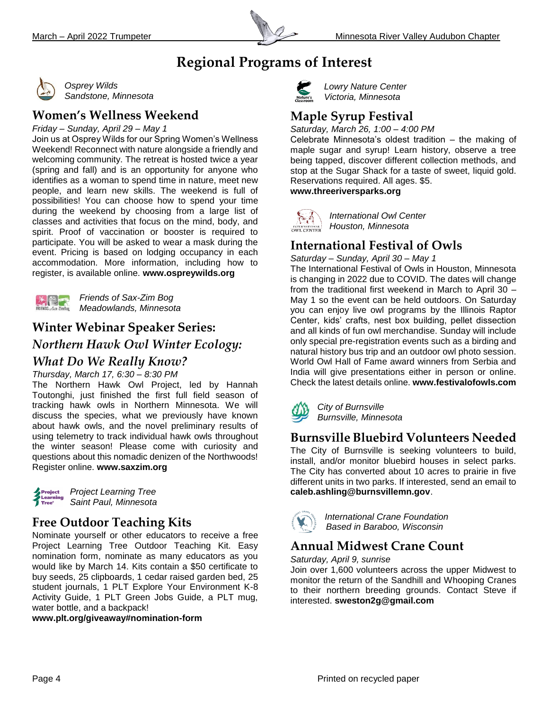

# **Regional Programs of Interest**



*Osprey Wilds Sandstone, Minnesota*

## **Women's Wellness Weekend**

*Friday – Sunday, April 29 – May 1*

Join us at Osprey Wilds for our Spring Women's Wellness Weekend! Reconnect with nature alongside a friendly and welcoming community. The retreat is hosted twice a year (spring and fall) and is an opportunity for anyone who identifies as a woman to spend time in nature, meet new people, and learn new skills. The weekend is full of possibilities! You can choose how to spend your time during the weekend by choosing from a large list of classes and activities that focus on the mind, body, and spirit. Proof of vaccination or booster is required to participate. You will be asked to wear a mask during the event. Pricing is based on lodging occupancy in each accommodation. More information, including how to register, is available online. **[www.ospreywilds.org](http://www.saxzim.org/)**



*Friends of Sax-Zim Bog Meadowlands, Minnesota*

## **Winter Webinar Speaker Series:**

*Northern Hawk Owl Winter Ecology: What Do We Really Know?*

## *Thursday, March 17, 6:30 – 8:30 PM*

The Northern Hawk Owl Project, led by Hannah Toutonghi, just finished the first full field season of tracking hawk owls in Northern Minnesota. We will discuss the species, what we previously have known about hawk owls, and the novel preliminary results of using telemetry to track individual hawk owls throughout the winter season! Please come with curiosity and questions about this nomadic denizen of the Northwoods! Register online. **www.saxzim.org**



*Project Learning Tree Saint Paul, Minnesota*

## **Free Outdoor Teaching Kits**

Nominate yourself or other educators to receive a free Project Learning Tree Outdoor Teaching Kit. Easy nomination form, nominate as many educators as you would like by March 14. Kits contain a \$50 certificate to buy seeds, 25 clipboards, 1 cedar raised garden bed, 25 student journals, 1 PLT Explore Your Environment K-8 Activity Guide, 1 PLT Green Jobs Guide, a PLT mug, water bottle, and a backpack!

#### **www.plt.org/giveaway#nomination-form**



*Lowry Nature Center Victoria, Minnesota*

## **Maple Syrup Festival**

*Saturday, March 26, 1:00 – 4:00 PM*

Celebrate Minnesota's oldest tradition – the making of maple sugar and syrup! Learn history, observe a tree being tapped, discover different collection methods, and stop at the Sugar Shack for a taste of sweet, liquid gold. Reservations required. All ages. \$5. **www.threeriversparks.org**



*International Owl Center Houston, Minnesota* 

## **International Festival of Owls**

*Saturday – Sunday, April 30 – May 1*

The International Festival of Owls in Houston, Minnesota is changing in 2022 due to COVID. The dates will change from the traditional first weekend in March to April 30 – May 1 so the event can be held outdoors. On Saturday you can enjoy live owl programs by the Illinois Raptor Center, kids' crafts, nest box building, pellet dissection and all kinds of fun owl merchandise. Sunday will include only special pre-registration events such as a birding and natural history bus trip and an outdoor owl photo session. World Owl Hall of Fame award winners from Serbia and India will give presentations either in person or online. Check the latest details online. **www.festivalofowls.com**

*City of Burnsville Burnsville, Minnesota*

# **Burnsville Bluebird Volunteers Needed**

The City of Burnsville is seeking volunteers to build, install, and/or monitor bluebird houses in select parks. The City has converted about 10 acres to prairie in five different units in two parks. If interested, send an email to **[caleb.ashling@burnsvillemn.gov](mailto:caleb.ashling@burnsvillemn.gov)**.



*International Crane Foundation Based in Baraboo, Wisconsin*

# **Annual Midwest Crane Count**

*Saturday, April 9, sunrise* 

Join over 1,600 volunteers across the upper Midwest to monitor the return of the Sandhill and Whooping Cranes to their northern breeding grounds. Contact Steve if interested. **[sweston2g@gmail.com](mailto:sweston2g@gmail.com)**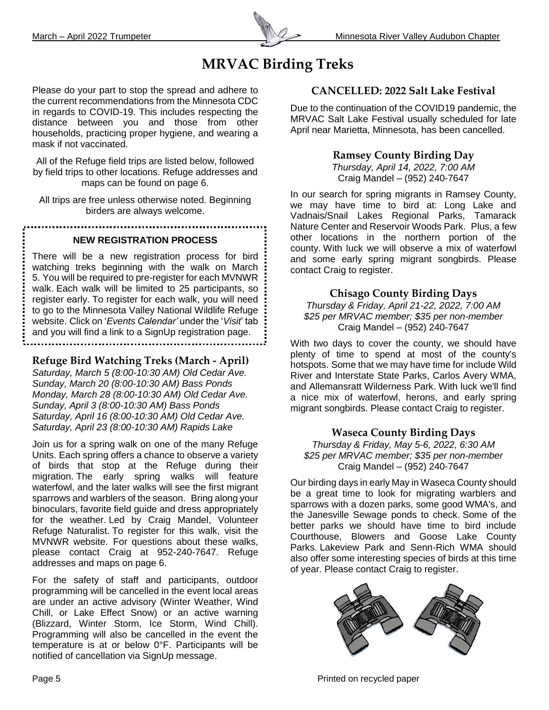

# **MRVAC Birding Treks**

Please do your part to stop the spread and adhere to the current recommendations from the Minnesota CDC in regards to COVID-19. This includes respecting the distance between you and those from other households, practicing proper hygiene, and wearing a mask if not vaccinated.

All of the Refuge field trips are listed below, followed by field trips to other locations. Refuge addresses and maps can be found on page 6.

All trips are free unless otherwise noted. Beginning birders are always welcome.

#### **NEW REGISTRATION PROCESS**

There will be a new registration process for bird watching treks beginning with the walk on March 5. You will be required to pre-register for each MVNWR walk. Each walk will be limited to 25 participants, so register early. To register for each walk, you will need to go to the Minnesota Valley National Wildlife Refuge website. Click on '*Events Calendar'* under the '*Visit*' tab and you will find a link to a SignUp registration page. 

#### **Refuge Bird Watching Treks (March - April)**

*Saturday, March 5 (8:00-10:30 AM) Old Cedar Ave. Sunday, March 20 (8:00-10:30 AM) Bass Ponds Monday, March 28 (8:00-10:30 AM) Old Cedar Ave. Sunday, April 3 (8:00-10:30 AM) Bass Ponds Saturday, April 16 (8:00-10:30 AM) Old Cedar Ave. Saturday, April 23 (8:00-10:30 AM) Rapids Lake*

Join us for a spring walk on one of the many Refuge Units. Each spring offers a chance to observe a variety of birds that stop at the Refuge during their migration. The early spring walks will feature waterfowl, and the later walks will see the first migrant sparrows and warblers of the season. Bring along your binoculars, favorite field guide and dress appropriately for the weather. Led by Craig Mandel, Volunteer Refuge Naturalist. To register for this walk, visit the MVNWR website. For questions about these walks, please contact Craig at 952-240-7647. Refuge addresses and maps on page 6.

For the safety of staff and participants, outdoor programming will be cancelled in the event local areas are under an active advisory (Winter Weather, Wind Chill, or Lake Effect Snow) or an active warning (Blizzard, Winter Storm, Ice Storm, Wind Chill). Programming will also be cancelled in the event the temperature is at or below 0°F. Participants will be notified of cancellation via SignUp message.

### **CANCELLED: 2022 Salt Lake Festival**

Due to the continuation of the COVID19 pandemic, the MRVAC Salt Lake Festival usually scheduled for late April near Marietta, Minnesota, has been cancelled.

#### **Ramsey County Birding Day**

*Thursday, April 14, 2022, 7:00 AM* Craig Mandel – (952) 240-7647

In our search for spring migrants in Ramsey County, we may have time to bird at: Long Lake and Vadnais/Snail Lakes Regional Parks, Tamarack Nature Center and Reservoir Woods Park. Plus, a few other locations in the northern portion of the county. With luck we will observe a mix of waterfowl and some early spring migrant songbirds. Please contact Craig to register.

#### **Chisago County Birding Days**

*Thursday & Friday, April 21-22, 2022, 7:00 AM \$25 per MRVAC member; \$35 per non-member* Craig Mandel – (952) 240-7647

With two days to cover the county, we should have plenty of time to spend at most of the county's hotspots. Some that we may have time for include Wild River and Interstate State Parks, Carlos Avery WMA, and Allemansratt Wilderness Park. With luck we'll find a nice mix of waterfowl, herons, and early spring migrant songbirds. Please contact Craig to register.

#### **Waseca County Birding Days**

*Thursday & Friday, May 5-6, 2022, 6:30 AM \$25 per MRVAC member; \$35 per non-member* Craig Mandel – (952) 240-7647

Our birding days in early May in Waseca County should be a great time to look for migrating warblers and sparrows with a dozen parks, some good WMA's, and the Janesville Sewage ponds to check. Some of the better parks we should have time to bird include Courthouse, Blowers and Goose Lake County Parks. Lakeview Park and Senn-Rich WMA should also offer some interesting species of birds at this time of year. Please contact Craig to register.



Page 5 Page 1 Printed on recycled paper